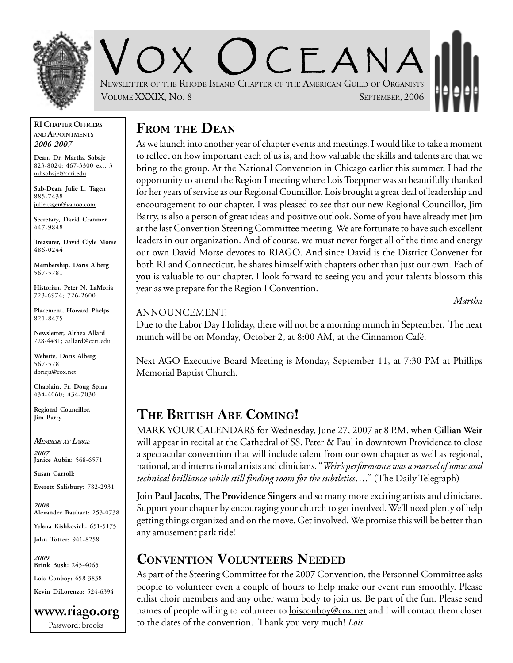

CEANA NEWSLETTER OF THE RHODE ISLAND CHAPTER OF THE AMERICAN GUILD OF ORGANISTS VOLUME XXXIX, NO. 8 SEPTEMBER, 2006

#### **RI CHAPTER OFFICERS AND APPOINTMENTS** *2006-2007*

**Dean, Dr. Martha Sobaje** 823-8024; 467-3300 ext. 3 mhsobaje@ccri.edu

**Sub-Dean, Julie L. Tagen** 885-7438 julieltagen@yahoo.com

**Secretary, David Cranmer** 447-9848

**Treasurer, David Clyle Morse** 486-0244

**Membership, Doris Alberg** 567-5781

**Historian, Peter N. LaMoria** 723-6974; 726-2600

**Placement, Howard Phelps** 821-8475

**Newsletter, Althea Allard** 728-4431; aallard@ccri.edu

**Website**, **Doris Alberg** 567-5781 dorisja@cox.net

**Chaplain, Fr. Doug Spina** 434-4060; 434-7030

**Regional Councillor, Jim Barry**

*MEMBERS-AT-LARGE 2007* **Janice Aubin**: 568-6571

**Susan Carroll:**

**Everett Salisbury:** 782-2931

*2008* **Alexander Bauhart:** 253-0738 **Yelena Kishkovich:** 651-5175

**John Totter:** 941-8258

*2009* **Brink Bush:** 245-4065

**Lois Conboy:** 658-3838

**Kevin DiLorenzo:** 524-6394



## **FROM THE DEAN**

As we launch into another year of chapter events and meetings, I would like to take a moment to reflect on how important each of us is, and how valuable the skills and talents are that we bring to the group. At the National Convention in Chicago earlier this summer, I had the opportunity to attend the Region I meeting where Lois Toeppner was so beautifully thanked for her years of service as our Regional Councillor. Lois brought a great deal of leadership and encouragement to our chapter. I was pleased to see that our new Regional Councillor, Jim Barry, is also a person of great ideas and positive outlook. Some of you have already met Jim at the last Convention Steering Committee meeting. We are fortunate to have such excellent leaders in our organization. And of course, we must never forget all of the time and energy our own David Morse devotes to RIAGO. And since David is the District Convener for both RI and Connecticut, he shares himself with chapters other than just our own. Each of **you** is valuable to our chapter. I look forward to seeing you and your talents blossom this year as we prepare for the Region I Convention.

*Martha*

#### ANNOUNCEMENT:

Due to the Labor Day Holiday, there will not be a morning munch in September. The next munch will be on Monday, October 2, at 8:00 AM, at the Cinnamon Café.

Next AGO Executive Board Meeting is Monday, September 11, at 7:30 PM at Phillips Memorial Baptist Church.

## **THE BRITISH ARE COMING!**

MARK YOUR CALENDARS for Wednesday, June 27, 2007 at 8 P.M. when **Gillian Weir** will appear in recital at the Cathedral of SS. Peter & Paul in downtown Providence to close a spectacular convention that will include talent from our own chapter as well as regional, national, and international artists and clinicians. "*Weir's performance was a marvel of sonic and technical brilliance while still finding room for the subtleties*…." (The Daily Telegraph)

Join **Paul Jacobs**, **The Providence Singers** and so many more exciting artists and clinicians. Support your chapter by encouraging your church to get involved. We'll need plenty of help getting things organized and on the move. Get involved. We promise this will be better than any amusement park ride!

### **CONVENTION VOLUNTEERS NEEDED**

As part of the Steering Committee for the 2007 Convention, the Personnel Committee asks people to volunteer even a couple of hours to help make our event run smoothly. Please enlist choir members and any other warm body to join us. Be part of the fun. Please send names of people willing to volunteer to <u>loisconboy@cox.net</u> and I will contact them closer to the dates of the convention. Thank you very much! *Lois*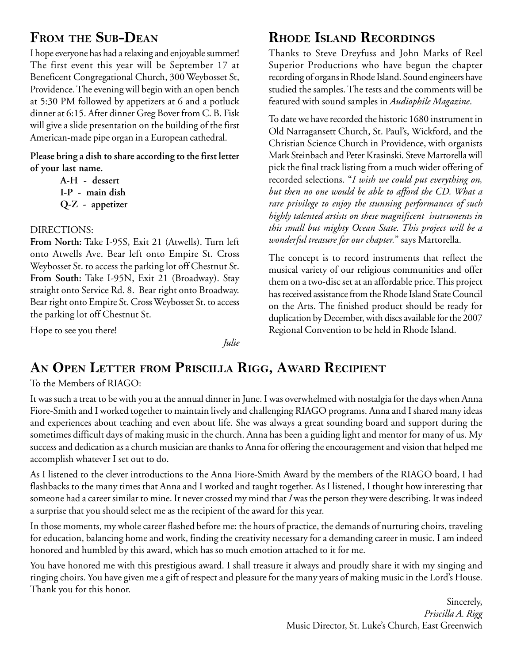## **FROM THE SUB-DEAN**

I hope everyone has had a relaxing and enjoyable summer! The first event this year will be September 17 at Beneficent Congregational Church, 300 Weybosset St, Providence. The evening will begin with an open bench at 5:30 PM followed by appetizers at 6 and a potluck dinner at 6:15. After dinner Greg Bover from C. B. Fisk will give a slide presentation on the building of the first American-made pipe organ in a European cathedral.

**Please bring a dish to share according to the first letter of your last name.**

> **A-H - dessert I-P - main dish Q-Z - appetizer**

#### DIRECTIONS:

**From North:** Take I-95S, Exit 21 (Atwells). Turn left onto Atwells Ave. Bear left onto Empire St. Cross Weybosset St. to access the parking lot off Chestnut St. **From South:** Take I-95N, Exit 21 (Broadway). Stay straight onto Service Rd. 8. Bear right onto Broadway. Bear right onto Empire St. Cross Weybosset St. to access the parking lot off Chestnut St.

Hope to see you there!

*Julie*

# **RHODE ISLAND RECORDINGS**

Thanks to Steve Dreyfuss and John Marks of Reel Superior Productions who have begun the chapter recording of organs in Rhode Island. Sound engineers have studied the samples. The tests and the comments will be featured with sound samples in *Audiophile Magazine*.

To date we have recorded the historic 1680 instrument in Old Narragansett Church, St. Paul's, Wickford, and the Christian Science Church in Providence, with organists Mark Steinbach and Peter Krasinski. Steve Martorella will pick the final track listing from a much wider offering of recorded selections. "*I wish we could put everything on, but then no one would be able to afford the CD. What a rare privilege to enjoy the stunning performances of such highly talented artists on these magnificent instruments in this small but mighty Ocean State. This project will be a wonderful treasure for our chapter.*" says Martorella.

The concept is to record instruments that reflect the musical variety of our religious communities and offer them on a two-disc set at an affordable price. This project has received assistance from the Rhode Island State Council on the Arts. The finished product should be ready for duplication by December, with discs available for the 2007 Regional Convention to be held in Rhode Island.

### **AN OPEN LETTER FROM PRISCILLA RIGG, AWARD RECIPIENT**

To the Members of RIAGO:

It was such a treat to be with you at the annual dinner in June. I was overwhelmed with nostalgia for the days when Anna Fiore-Smith and I worked together to maintain lively and challenging RIAGO programs. Anna and I shared many ideas and experiences about teaching and even about life. She was always a great sounding board and support during the sometimes difficult days of making music in the church. Anna has been a guiding light and mentor for many of us. My success and dedication as a church musician are thanks to Anna for offering the encouragement and vision that helped me accomplish whatever I set out to do.

As I listened to the clever introductions to the Anna Fiore-Smith Award by the members of the RIAGO board, I had flashbacks to the many times that Anna and I worked and taught together. As I listened, I thought how interesting that someone had a career similar to mine. It never crossed my mind that *I* was the person they were describing. It was indeed a surprise that you should select me as the recipient of the award for this year.

In those moments, my whole career flashed before me: the hours of practice, the demands of nurturing choirs, traveling for education, balancing home and work, finding the creativity necessary for a demanding career in music. I am indeed honored and humbled by this award, which has so much emotion attached to it for me.

You have honored me with this prestigious award. I shall treasure it always and proudly share it with my singing and ringing choirs. You have given me a gift of respect and pleasure for the many years of making music in the Lord's House. Thank you for this honor.

> Sincerely, *Priscilla A. Rigg* Music Director, St. Luke's Church, East Greenwich